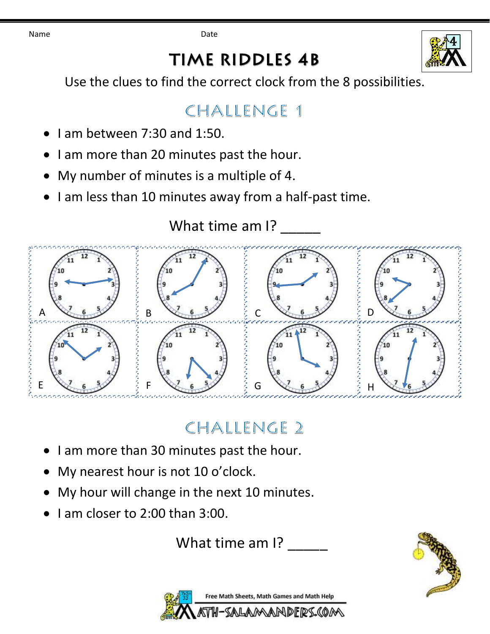Name **Date Date** 

# **TIME RIDDLES 4B**



Use the clues to find the correct clock from the 8 possibilities.

#### CHALLENGE 1

- I am between 7:30 and 1:50.
- I am more than 20 minutes past the hour.
- My number of minutes is a multiple of 4.
- I am less than 10 minutes away from a half-past time.

What time am I?



## CHALLENGE 2

- I am more than 30 minutes past the hour.
- My nearest hour is not 10 o'clock.
- My hour will change in the next 10 minutes.
- I am closer to 2:00 than 3:00.

What time am I?